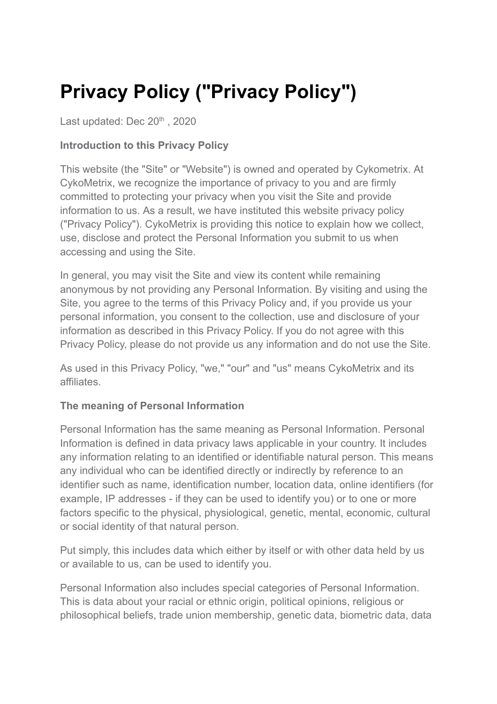# **Privacy Policy ("Privacy Policy")**

Last updated: Dec 20<sup>th</sup>, 2020

# **Introduction to this Privacy Policy**

This website (the "Site" or "Website") is owned and operated by Cykometrix. At CykoMetrix, we recognize the importance of privacy to you and are firmly committed to protecting your privacy when you visit the Site and provide information to us. As a result, we have instituted this website privacy policy ("Privacy Policy"). CykoMetrix is providing this notice to explain how we collect, use, disclose and protect the Personal Information you submit to us when accessing and using the Site.

In general, you may visit the Site and view its content while remaining anonymous by not providing any Personal Information. By visiting and using the Site, you agree to the terms of this Privacy Policy and, if you provide us your personal information, you consent to the collection, use and disclosure of your information as described in this Privacy Policy. If you do not agree with this Privacy Policy, please do not provide us any information and do not use the Site.

As used in this Privacy Policy, "we," "our" and "us" means CykoMetrix and its affiliates.

# **The meaning of Personal Information**

Personal Information has the same meaning as Personal Information. Personal Information is defined in data privacy laws applicable in your country. It includes any information relating to an identified or identifiable natural person. This means any individual who can be identified directly or indirectly by reference to an identifier such as name, identification number, location data, online identifiers (for example, IP addresses - if they can be used to identify you) or to one or more factors specific to the physical, physiological, genetic, mental, economic, cultural or social identity of that natural person.

Put simply, this includes data which either by itself or with other data held by us or available to us, can be used to identify you.

Personal Information also includes special categories of Personal Information. This is data about your racial or ethnic origin, political opinions, religious or philosophical beliefs, trade union membership, genetic data, biometric data, data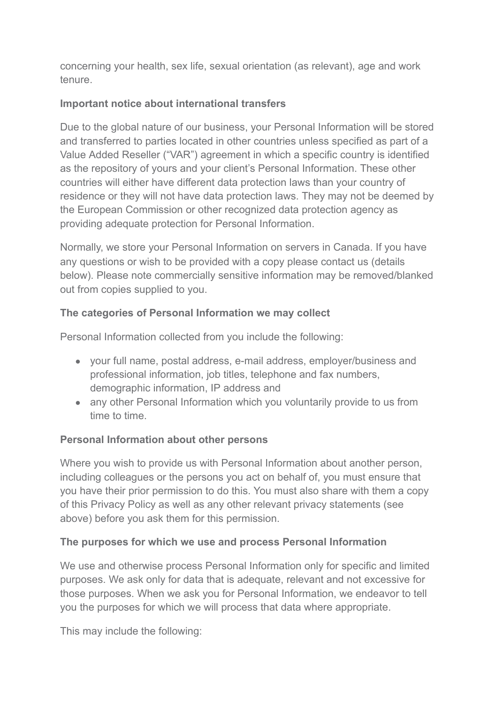concerning your health, sex life, sexual orientation (as relevant), age and work tenure.

# **Important notice about international transfers**

Due to the global nature of our business, your Personal Information will be stored and transferred to parties located in other countries unless specified as part of a Value Added Reseller ("VAR") agreement in which a specific country is identified as the repository of yours and your client's Personal Information. These other countries will either have different data protection laws than your country of residence or they will not have data protection laws. They may not be deemed by the European Commission or other recognized data protection agency as providing adequate protection for Personal Information.

Normally, we store your Personal Information on servers in Canada. If you have any questions or wish to be provided with a copy please contact us (details below). Please note commercially sensitive information may be removed/blanked out from copies supplied to you.

## **The categories of Personal Information we may collect**

Personal Information collected from you include the following:

- your full name, postal address, e-mail address, employer/business and professional information, job titles, telephone and fax numbers, demographic information, IP address and
- any other Personal Information which you voluntarily provide to us from time to time.

## **Personal Information about other persons**

Where you wish to provide us with Personal Information about another person, including colleagues or the persons you act on behalf of, you must ensure that you have their prior permission to do this. You must also share with them a copy of this Privacy Policy as well as any other relevant privacy statements (see above) before you ask them for this permission.

#### **The purposes for which we use and process Personal Information**

We use and otherwise process Personal Information only for specific and limited purposes. We ask only for data that is adequate, relevant and not excessive for those purposes. When we ask you for Personal Information, we endeavor to tell you the purposes for which we will process that data where appropriate.

This may include the following: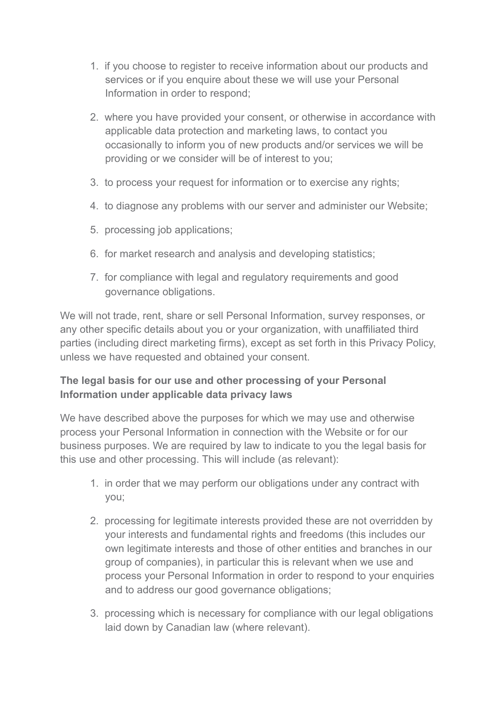- 1. if you choose to register to receive information about our products and services or if you enquire about these we will use your Personal Information in order to respond;
- 2. where you have provided your consent, or otherwise in accordance with applicable data protection and marketing laws, to contact you occasionally to inform you of new products and/or services we will be providing or we consider will be of interest to you;
- 3. to process your request for information or to exercise any rights;
- 4. to diagnose any problems with our server and administer our Website;
- 5. processing job applications;
- 6. for market research and analysis and developing statistics;
- 7. for compliance with legal and regulatory requirements and good governance obligations.

We will not trade, rent, share or sell Personal Information, survey responses, or any other specific details about you or your organization, with unaffiliated third parties (including direct marketing firms), except as set forth in this Privacy Policy, unless we have requested and obtained your consent.

# **The legal basis for our use and other processing of your Personal Information under applicable data privacy laws**

We have described above the purposes for which we may use and otherwise process your Personal Information in connection with the Website or for our business purposes. We are required by law to indicate to you the legal basis for this use and other processing. This will include (as relevant):

- 1. in order that we may perform our obligations under any contract with you;
- 2. processing for legitimate interests provided these are not overridden by your interests and fundamental rights and freedoms (this includes our own legitimate interests and those of other entities and branches in our group of companies), in particular this is relevant when we use and process your Personal Information in order to respond to your enquiries and to address our good governance obligations;
- 3. processing which is necessary for compliance with our legal obligations laid down by Canadian law (where relevant).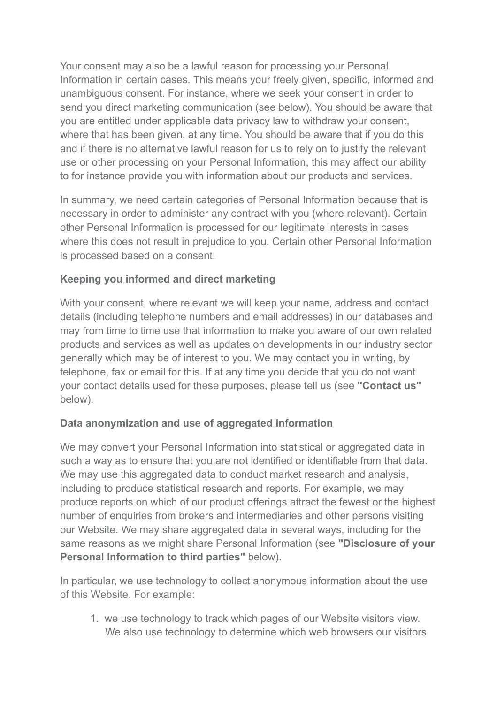Your consent may also be a lawful reason for processing your Personal Information in certain cases. This means your freely given, specific, informed and unambiguous consent. For instance, where we seek your consent in order to send you direct marketing communication (see below). You should be aware that you are entitled under applicable data privacy law to withdraw your consent, where that has been given, at any time. You should be aware that if you do this and if there is no alternative lawful reason for us to rely on to justify the relevant use or other processing on your Personal Information, this may affect our ability to for instance provide you with information about our products and services.

In summary, we need certain categories of Personal Information because that is necessary in order to administer any contract with you (where relevant). Certain other Personal Information is processed for our legitimate interests in cases where this does not result in prejudice to you. Certain other Personal Information is processed based on a consent.

# **Keeping you informed and direct marketing**

With your consent, where relevant we will keep your name, address and contact details (including telephone numbers and email addresses) in our databases and may from time to time use that information to make you aware of our own related products and services as well as updates on developments in our industry sector generally which may be of interest to you. We may contact you in writing, by telephone, fax or email for this. If at any time you decide that you do not want your contact details used for these purposes, please tell us (see **"Contact us"** below).

## **Data anonymization and use of aggregated information**

We may convert your Personal Information into statistical or aggregated data in such a way as to ensure that you are not identified or identifiable from that data. We may use this aggregated data to conduct market research and analysis, including to produce statistical research and reports. For example, we may produce reports on which of our product offerings attract the fewest or the highest number of enquiries from brokers and intermediaries and other persons visiting our Website. We may share aggregated data in several ways, including for the same reasons as we might share Personal Information (see **"Disclosure of your Personal Information to third parties"** below).

In particular, we use technology to collect anonymous information about the use of this Website. For example:

1. we use technology to track which pages of our Website visitors view. We also use technology to determine which web browsers our visitors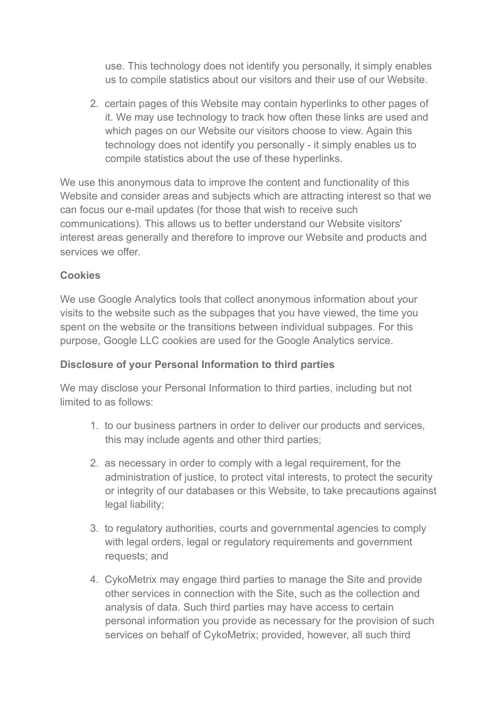use. This technology does not identify you personally, it simply enables us to compile statistics about our visitors and their use of our Website.

2. certain pages of this Website may contain hyperlinks to other pages of it. We may use technology to track how often these links are used and which pages on our Website our visitors choose to view. Again this technology does not identify you personally - it simply enables us to compile statistics about the use of these hyperlinks.

We use this anonymous data to improve the content and functionality of this Website and consider areas and subjects which are attracting interest so that we can focus our e-mail updates (for those that wish to receive such communications). This allows us to better understand our Website visitors' interest areas generally and therefore to improve our Website and products and services we offer.

## **Cookies**

We use Google Analytics tools that collect anonymous information about your visits to the website such as the subpages that you have viewed, the time you spent on the website or the transitions between individual subpages. For this purpose, Google LLC cookies are used for the Google Analytics service.

#### **Disclosure of your Personal Information to third parties**

We may disclose your Personal Information to third parties, including but not limited to as follows:

- 1. to our business partners in order to deliver our products and services, this may include agents and other third parties;
- 2. as necessary in order to comply with a legal requirement, for the administration of justice, to protect vital interests, to protect the security or integrity of our databases or this Website, to take precautions against legal liability;
- 3. to regulatory authorities, courts and governmental agencies to comply with legal orders, legal or regulatory requirements and government requests; and
- 4. CykoMetrix may engage third parties to manage the Site and provide other services in connection with the Site, such as the collection and analysis of data. Such third parties may have access to certain personal information you provide as necessary for the provision of such services on behalf of CykoMetrix; provided, however, all such third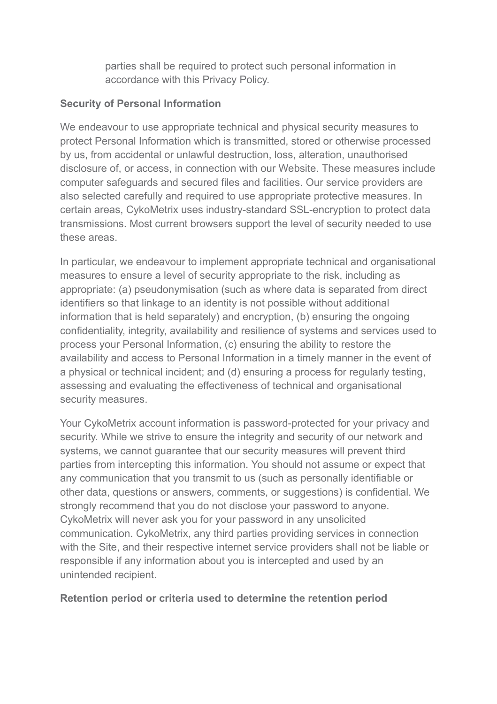parties shall be required to protect such personal information in accordance with this Privacy Policy.

#### **Security of Personal Information**

We endeavour to use appropriate technical and physical security measures to protect Personal Information which is transmitted, stored or otherwise processed by us, from accidental or unlawful destruction, loss, alteration, unauthorised disclosure of, or access, in connection with our Website. These measures include computer safeguards and secured files and facilities. Our service providers are also selected carefully and required to use appropriate protective measures. In certain areas, CykoMetrix uses industry-standard SSL-encryption to protect data transmissions. Most current browsers support the level of security needed to use these areas.

In particular, we endeavour to implement appropriate technical and organisational measures to ensure a level of security appropriate to the risk, including as appropriate: (a) pseudonymisation (such as where data is separated from direct identifiers so that linkage to an identity is not possible without additional information that is held separately) and encryption, (b) ensuring the ongoing confidentiality, integrity, availability and resilience of systems and services used to process your Personal Information, (c) ensuring the ability to restore the availability and access to Personal Information in a timely manner in the event of a physical or technical incident; and (d) ensuring a process for regularly testing, assessing and evaluating the effectiveness of technical and organisational security measures.

Your CykoMetrix account information is password-protected for your privacy and security. While we strive to ensure the integrity and security of our network and systems, we cannot guarantee that our security measures will prevent third parties from intercepting this information. You should not assume or expect that any communication that you transmit to us (such as personally identifiable or other data, questions or answers, comments, or suggestions) is confidential. We strongly recommend that you do not disclose your password to anyone. CykoMetrix will never ask you for your password in any unsolicited communication. CykoMetrix, any third parties providing services in connection with the Site, and their respective internet service providers shall not be liable or responsible if any information about you is intercepted and used by an unintended recipient.

#### **Retention period or criteria used to determine the retention period**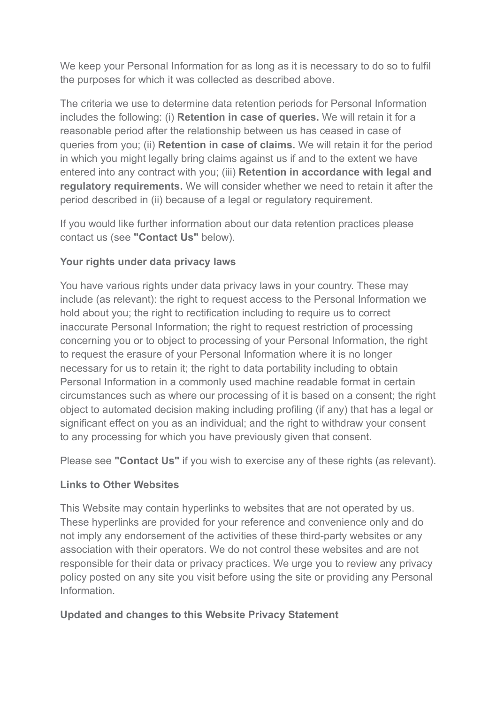We keep your Personal Information for as long as it is necessary to do so to fulfil the purposes for which it was collected as described above.

The criteria we use to determine data retention periods for Personal Information includes the following: (i) **Retention in case of queries.** We will retain it for a reasonable period after the relationship between us has ceased in case of queries from you; (ii) **Retention in case of claims.** We will retain it for the period in which you might legally bring claims against us if and to the extent we have entered into any contract with you; (iii) **Retention in accordance with legal and regulatory requirements.** We will consider whether we need to retain it after the period described in (ii) because of a legal or regulatory requirement.

If you would like further information about our data retention practices please contact us (see **"Contact Us"** below).

# **Your rights under data privacy laws**

You have various rights under data privacy laws in your country. These may include (as relevant): the right to request access to the Personal Information we hold about you; the right to rectification including to require us to correct inaccurate Personal Information; the right to request restriction of processing concerning you or to object to processing of your Personal Information, the right to request the erasure of your Personal Information where it is no longer necessary for us to retain it; the right to data portability including to obtain Personal Information in a commonly used machine readable format in certain circumstances such as where our processing of it is based on a consent; the right object to automated decision making including profiling (if any) that has a legal or significant effect on you as an individual; and the right to withdraw your consent to any processing for which you have previously given that consent.

Please see **"Contact Us"** if you wish to exercise any of these rights (as relevant).

## **Links to Other Websites**

This Website may contain hyperlinks to websites that are not operated by us. These hyperlinks are provided for your reference and convenience only and do not imply any endorsement of the activities of these third-party websites or any association with their operators. We do not control these websites and are not responsible for their data or privacy practices. We urge you to review any privacy policy posted on any site you visit before using the site or providing any Personal Information.

## **Updated and changes to this Website Privacy Statement**